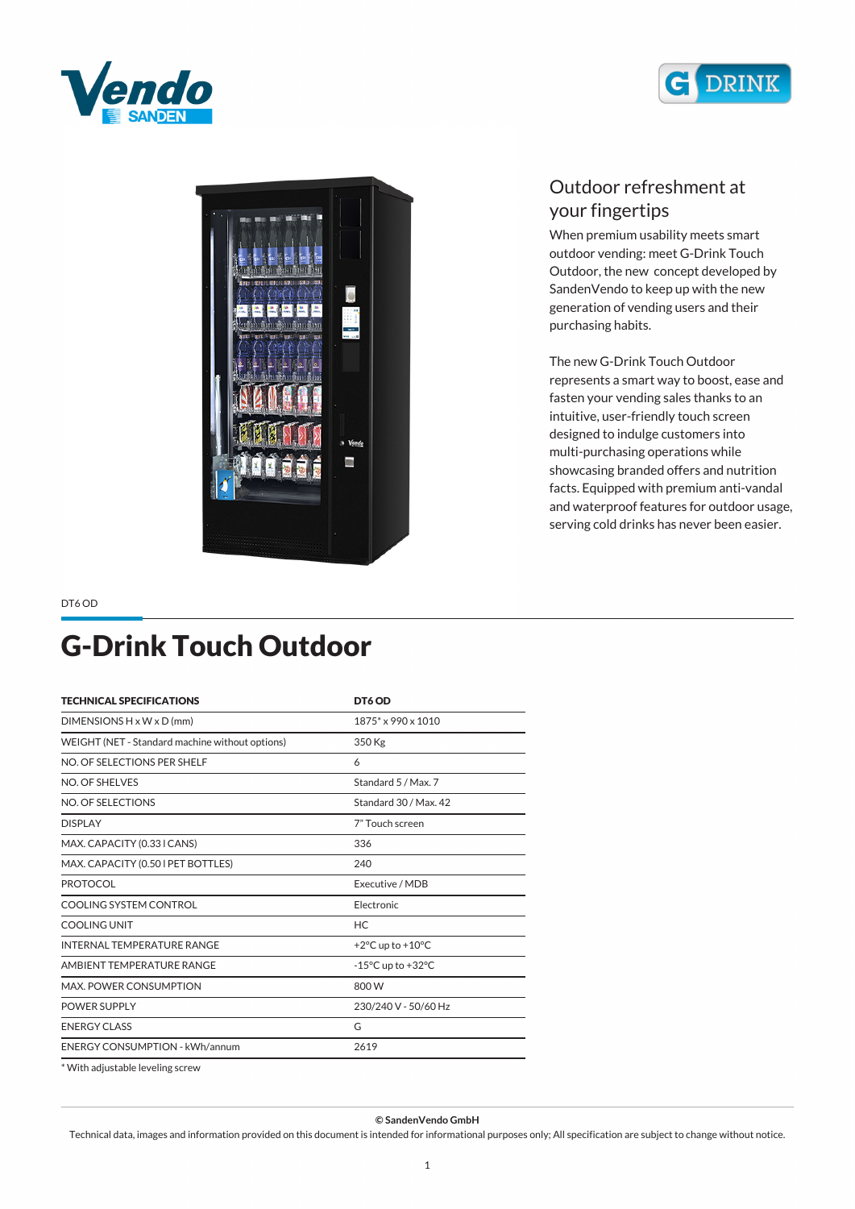





#### *Outdoor refreshment at your fingertips*

*When premium usability meets smart outdoor vending: meet G-Drink Touch Outdoor, the new concept developed by SandenVendo to keep up with the new generation of vending users and their purchasing habits.*

*The new G-Drink Touch Outdoor represents a smart way to boost, ease and fasten your vending sales thanks to an intuitive, user-friendly touch screen designed to indulge customers into multi-purchasing operations while showcasing branded offers and nutrition facts. Equipped with premium anti-vandal and waterproof features for outdoor usage, serving cold drinks has never been easier.*

*DT6 OD*

## *G-Drink Touch Outdoor*

| <b>TECHNICAL SPECIFICATIONS</b>                 | DT6 OD                                |
|-------------------------------------------------|---------------------------------------|
| DIMENSIONS $H \times W \times D$ (mm)           | $1875*$ x 990 x 1010                  |
| WEIGHT (NET - Standard machine without options) | 350 Kg                                |
| NO. OF SELECTIONS PER SHELF                     | 6                                     |
| NO. OF SHELVES                                  | Standard 5 / Max. 7                   |
| NO. OF SELECTIONS                               | Standard 30 / Max. 42                 |
| <b>DISPLAY</b>                                  | 7" Touch screen                       |
| MAX. CAPACITY (0.33 I CANS)                     | 336                                   |
| MAX. CAPACITY (0.50 I PET BOTTLES)              | 240                                   |
| <b>PROTOCOL</b>                                 | Executive / MDB                       |
| COOLING SYSTEM CONTROL                          | Electronic                            |
| <b>COOLING UNIT</b>                             | HC.                                   |
| <b>INTERNAL TEMPERATURE RANGE</b>               | +2 $\degree$ C up to +10 $\degree$ C  |
| AMBIENT TEMPERATURE RANGE                       | $-15^{\circ}$ C up to $+32^{\circ}$ C |
| MAX. POWER CONSUMPTION                          | 800W                                  |
| <b>POWER SUPPLY</b>                             | 230/240 V - 50/60 Hz                  |
| <b>ENERGY CLASS</b>                             | G                                     |
| <b>ENERGY CONSUMPTION - kWh/annum</b>           | 2619                                  |
|                                                 |                                       |

*\* With adjustable leveling screw*

*© SandenVendo GmbH*

*Technical data, images and information provided on this document is intended for informational purposes only; All specification are subject to change without notice.*